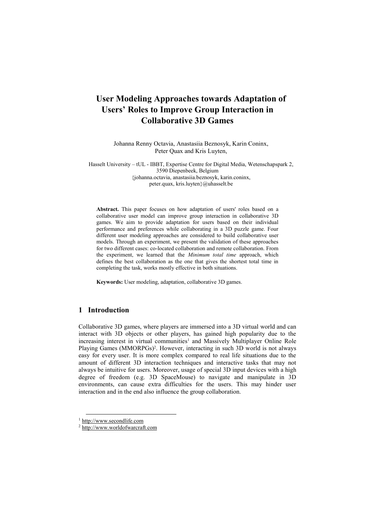# **User Modeling Approaches towards Adaptation of Users' Roles to Improve Group Interaction in Collaborative 3D Games**

Johanna Renny Octavia, Anastasiia Beznosyk, Karin Coninx, Peter Quax and Kris Luyten,

Hasselt University – tUL - IBBT, Expertise Centre for Digital Media, Wetenschapspark 2, 3590 Diepenbeek, Belgium {johanna.octavia, anastasiia.beznosyk, karin.coninx, peter.quax, kris.luyten}@uhasselt.be

**Abstract.** This paper focuses on how adaptation of users' roles based on a collaborative user model can improve group interaction in collaborative 3D games. We aim to provide adaptation for users based on their individual performance and preferences while collaborating in a 3D puzzle game. Four different user modeling approaches are considered to build collaborative user models. Through an experiment, we present the validation of these approaches for two different cases: co-located collaboration and remote collaboration. From the experiment, we learned that the *Minimum total time* approach, which defines the best collaboration as the one that gives the shortest total time in completing the task, works mostly effective in both situations.

**Keywords:** User modeling, adaptation, collaborative 3D games.

# **1 Introduction**

Collaborative 3D games, where players are immersed into a 3D virtual world and can interact with 3D objects or other players, has gained high popularity due to the increasing interest in virtual communities<sup>1</sup> and Massively Multiplayer Online Role Playing Games (MMORPGs)<sup>2</sup>. However, interacting in such 3D world is not always easy for every user. It is more complex compared to real life situations due to the amount of different 3D interaction techniques and interactive tasks that may not always be intuitive for users. Moreover, usage of special 3D input devices with a high degree of freedom (e.g. 3D SpaceMouse) to navigate and manipulate in 3D environments, can cause extra difficulties for the users. This may hinder user interaction and in the end also influence the group collaboration.

-

<sup>&</sup>lt;sup>1</sup> [http://www.secondlife.com](http://www.secondlife.com/)

<sup>2</sup> [http://www.worldofwarcraft.com](http://www.worldofwarcraft.com/)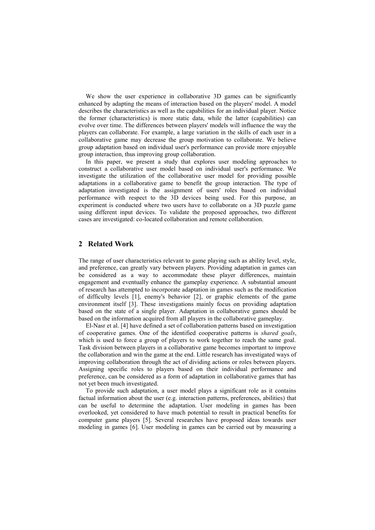We show the user experience in collaborative 3D games can be significantly enhanced by adapting the means of interaction based on the players' model. A model describes the characteristics as well as the capabilities for an individual player. Notice the former (characteristics) is more static data, while the latter (capabilities) can evolve over time. The differences between players' models will influence the way the players can collaborate. For example, a large variation in the skills of each user in a collaborative game may decrease the group motivation to collaborate. We believe group adaptation based on individual user's performance can provide more enjoyable group interaction, thus improving group collaboration.

In this paper, we present a study that explores user modeling approaches to construct a collaborative user model based on individual user's performance. We investigate the utilization of the collaborative user model for providing possible adaptations in a collaborative game to benefit the group interaction. The type of adaptation investigated is the assignment of users' roles based on individual performance with respect to the 3D devices being used. For this purpose, an experiment is conducted where two users have to collaborate on a 3D puzzle game using different input devices. To validate the proposed approaches, two different cases are investigated: co-located collaboration and remote collaboration.

## **2 Related Work**

The range of user characteristics relevant to game playing such as ability level, style, and preference, can greatly vary between players. Providing adaptation in games can be considered as a way to accommodate these player differences, maintain engagement and eventually enhance the gameplay experience. A substantial amount of research has attempted to incorporate adaptation in games such as the modification of difficulty levels [1], enemy's behavior [2], or graphic elements of the game environment itself [3]. These investigations mainly focus on providing adaptation based on the state of a single player. Adaptation in collaborative games should be based on the information acquired from all players in the collaborative gameplay.

El-Nasr et al. [4] have defined a set of collaboration patterns based on investigation of cooperative games. One of the identified cooperative patterns is *shared goals*, which is used to force a group of players to work together to reach the same goal. Task division between players in a collaborative game becomes important to improve the collaboration and win the game at the end. Little research has investigated ways of improving collaboration through the act of dividing actions or roles between players. Assigning specific roles to players based on their individual performance and preference, can be considered as a form of adaptation in collaborative games that has not yet been much investigated.

To provide such adaptation, a user model plays a significant role as it contains factual information about the user (e.g. interaction patterns, preferences, abilities) that can be useful to determine the adaptation. User modeling in games has been overlooked, yet considered to have much potential to result in practical benefits for computer game players [5]. Several researches have proposed ideas towards user modeling in games [6]. User modeling in games can be carried out by measuring a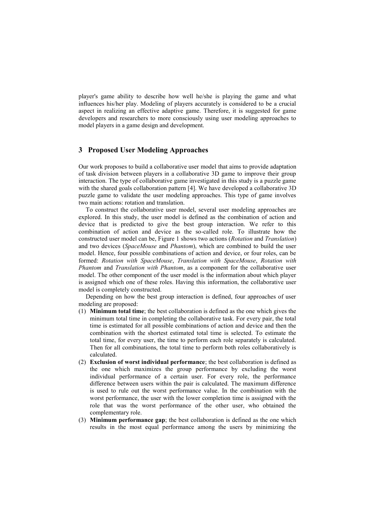player's game ability to describe how well he/she is playing the game and what influences his/her play. Modeling of players accurately is considered to be a crucial aspect in realizing an effective adaptive game. Therefore, it is suggested for game developers and researchers to more consciously using user modeling approaches to model players in a game design and development.

## **3 Proposed User Modeling Approaches**

Our work proposes to build a collaborative user model that aims to provide adaptation of task division between players in a collaborative 3D game to improve their group interaction. The type of collaborative game investigated in this study is a puzzle game with the shared goals collaboration pattern [4]. We have developed a collaborative 3D puzzle game to validate the user modeling approaches. This type of game involves two main actions: rotation and translation.

To construct the collaborative user model, several user modeling approaches are explored. In this study, the user model is defined as the combination of action and device that is predicted to give the best group interaction. We refer to this combination of action and device as the so-called role. To illustrate how the constructed user model can be, Figure 1 shows two actions (*Rotation* and *Translation*) and two devices (*SpaceMouse* and *Phantom*), which are combined to build the user model. Hence, four possible combinations of action and device, or four roles, can be formed: *Rotation with SpaceMouse*, *Translation with SpaceMouse*, *Rotation with Phantom* and *Translation with Phantom*, as a component for the collaborative user model. The other component of the user model is the information about which player is assigned which one of these roles. Having this information, the collaborative user model is completely constructed.

Depending on how the best group interaction is defined, four approaches of user modeling are proposed:

- (1) **Minimum total time**; the best collaboration is defined as the one which gives the minimum total time in completing the collaborative task. For every pair, the total time is estimated for all possible combinations of action and device and then the combination with the shortest estimated total time is selected. To estimate the total time, for every user, the time to perform each role separately is calculated. Then for all combinations, the total time to perform both roles collaboratively is calculated.
- (2) **Exclusion of worst individual performance**; the best collaboration is defined as the one which maximizes the group performance by excluding the worst individual performance of a certain user. For every role, the performance difference between users within the pair is calculated. The maximum difference is used to rule out the worst performance value. In the combination with the worst performance, the user with the lower completion time is assigned with the role that was the worst performance of the other user, who obtained the complementary role.
- (3) **Minimum performance gap**; the best collaboration is defined as the one which results in the most equal performance among the users by minimizing the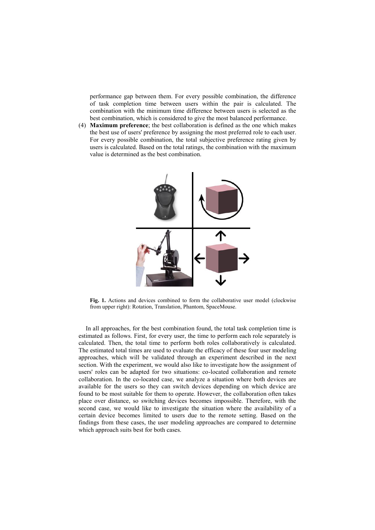performance gap between them. For every possible combination, the difference of task completion time between users within the pair is calculated. The combination with the minimum time difference between users is selected as the best combination, which is considered to give the most balanced performance.

(4) **Maximum preference**; the best collaboration is defined as the one which makes the best use of users' preference by assigning the most preferred role to each user. For every possible combination, the total subjective preference rating given by users is calculated. Based on the total ratings, the combination with the maximum value is determined as the best combination.



Fig. 1. Actions and devices combined to form the collaborative user model (clockwise from upper right): Rotation, Translation, Phantom, SpaceMouse.

In all approaches, for the best combination found, the total task completion time is estimated as follows. First, for every user, the time to perform each role separately is calculated. Then, the total time to perform both roles collaboratively is calculated. The estimated total times are used to evaluate the efficacy of these four user modeling approaches, which will be validated through an experiment described in the next section. With the experiment, we would also like to investigate how the assignment of users' roles can be adapted for two situations: co-located collaboration and remote collaboration. In the co-located case, we analyze a situation where both devices are available for the users so they can switch devices depending on which device are found to be most suitable for them to operate. However, the collaboration often takes place over distance, so switching devices becomes impossible. Therefore, with the second case, we would like to investigate the situation where the availability of a certain device becomes limited to users due to the remote setting. Based on the findings from these cases, the user modeling approaches are compared to determine which approach suits best for both cases.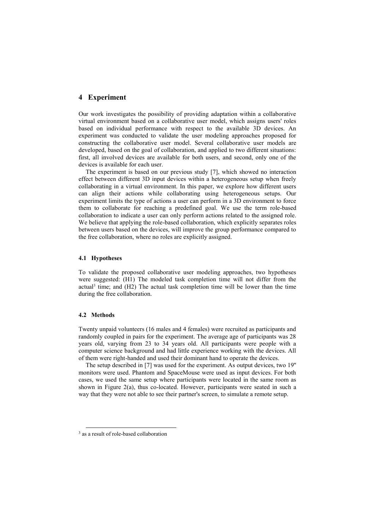#### **4 Experiment**

Our work investigates the possibility of providing adaptation within a collaborative virtual environment based on a collaborative user model, which assigns users' roles based on individual performance with respect to the available 3D devices. An experiment was conducted to validate the user modeling approaches proposed for constructing the collaborative user model. Several collaborative user models are developed, based on the goal of collaboration, and applied to two different situations: first, all involved devices are available for both users, and second, only one of the devices is available for each user.

The experiment is based on our previous study [7], which showed no interaction effect between different 3D input devices within a heterogeneous setup when freely collaborating in a virtual environment. In this paper, we explore how different users can align their actions while collaborating using heterogeneous setups. Our experiment limits the type of actions a user can perform in a 3D environment to force them to collaborate for reaching a predefined goal. We use the term role-based collaboration to indicate a user can only perform actions related to the assigned role. We believe that applying the role-based collaboration, which explicitly separates roles between users based on the devices, will improve the group performance compared to the free collaboration, where no roles are explicitly assigned.

#### **4.1 Hypotheses**

To validate the proposed collaborative user modeling approaches, two hypotheses were suggested: (H1) The modeled task completion time will not differ from the actual<sup>3</sup> time; and (H2) The actual task completion time will be lower than the time during the free collaboration.

#### **4.2 Methods**

1

Twenty unpaid volunteers (16 males and 4 females) were recruited as participants and randomly coupled in pairs for the experiment. The average age of participants was 28 years old, varying from 23 to 34 years old. All participants were people with a computer science background and had little experience working with the devices. All of them were right-handed and used their dominant hand to operate the devices.

The setup described in [7] was used for the experiment. As output devices, two 19'' monitors were used. Phantom and SpaceMouse were used as input devices. For both cases, we used the same setup where participants were located in the same room as shown in Figure 2(a), thus co-located. However, participants were seated in such a way that they were not able to see their partner's screen, to simulate a remote setup.

<sup>3</sup> as a result of role-based collaboration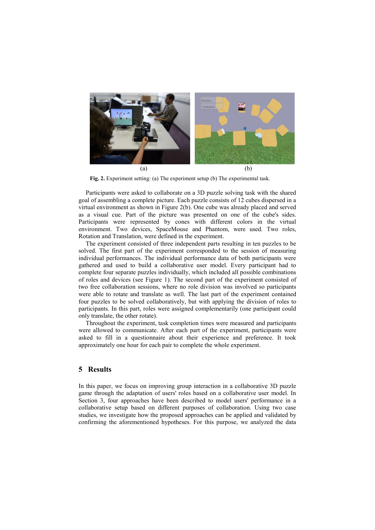

**Fig. 2.** Experiment setting: (a) The experiment setup (b) The experimental task.

Participants were asked to collaborate on a 3D puzzle solving task with the shared goal of assembling a complete picture. Each puzzle consists of 12 cubes dispersed in a virtual environment as shown in Figure 2(b). One cube was already placed and served as a visual cue. Part of the picture was presented on one of the cube's sides. Participants were represented by cones with different colors in the virtual environment. Two devices, SpaceMouse and Phantom, were used. Two roles, Rotation and Translation, were defined in the experiment.

The experiment consisted of three independent parts resulting in ten puzzles to be solved. The first part of the experiment corresponded to the session of measuring individual performances. The individual performance data of both participants were gathered and used to build a collaborative user model. Every participant had to complete four separate puzzles individually, which included all possible combinations of roles and devices (see Figure 1). The second part of the experiment consisted of two free collaboration sessions, where no role division was involved so participants were able to rotate and translate as well. The last part of the experiment contained four puzzles to be solved collaboratively, but with applying the division of roles to participants. In this part, roles were assigned complementarily (one participant could only translate, the other rotate).

Throughout the experiment, task completion times were measured and participants were allowed to communicate. After each part of the experiment, participants were asked to fill in a questionnaire about their experience and preference. It took approximately one hour for each pair to complete the whole experiment.

### **5 Results**

In this paper, we focus on improving group interaction in a collaborative 3D puzzle game through the adaptation of users' roles based on a collaborative user model. In Section 3, four approaches have been described to model users' performance in a collaborative setup based on different purposes of collaboration. Using two case studies, we investigate how the proposed approaches can be applied and validated by confirming the aforementioned hypotheses. For this purpose, we analyzed the data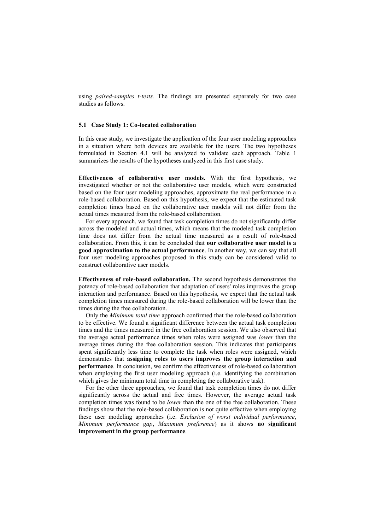using *paired-samples t-tests.* The findings are presented separately for two case studies as follows.

#### **5.1 Case Study 1: Co-located collaboration**

In this case study, we investigate the application of the four user modeling approaches in a situation where both devices are available for the users. The two hypotheses formulated in Section 4.1 will be analyzed to validate each approach. Table 1 summarizes the results of the hypotheses analyzed in this first case study.

**Effectiveness of collaborative user models.** With the first hypothesis, we investigated whether or not the collaborative user models, which were constructed based on the four user modeling approaches, approximate the real performance in a role-based collaboration. Based on this hypothesis, we expect that the estimated task completion times based on the collaborative user models will not differ from the actual times measured from the role-based collaboration.

For every approach, we found that task completion times do not significantly differ across the modeled and actual times, which means that the modeled task completion time does not differ from the actual time measured as a result of role-based collaboration. From this, it can be concluded that **our collaborative user model is a good approximation to the actual performance**. In another way, we can say that all four user modeling approaches proposed in this study can be considered valid to construct collaborative user models.

**Effectiveness of role-based collaboration.** The second hypothesis demonstrates the potency of role-based collaboration that adaptation of users' roles improves the group interaction and performance. Based on this hypothesis, we expect that the actual task completion times measured during the role-based collaboration will be lower than the times during the free collaboration.

Only the *Minimum total time* approach confirmed that the role-based collaboration to be effective. We found a significant difference between the actual task completion times and the times measured in the free collaboration session. We also observed that the average actual performance times when roles were assigned was *lower* than the average times during the free collaboration session. This indicates that participants spent significantly less time to complete the task when roles were assigned, which demonstrates that **assigning roles to users improves the group interaction and performance**. In conclusion, we confirm the effectiveness of role-based collaboration when employing the first user modeling approach (i.e. identifying the combination which gives the minimum total time in completing the collaborative task).

For the other three approaches, we found that task completion times do not differ significantly across the actual and free times. However, the average actual task completion times was found to be *lower* than the one of the free collaboration. These findings show that the role-based collaboration is not quite effective when employing these user modeling approaches (i.e. *Exclusion of worst individual performance*, *Minimum performance gap*, *Maximum preference*) as it shows **no significant improvement in the group performance**.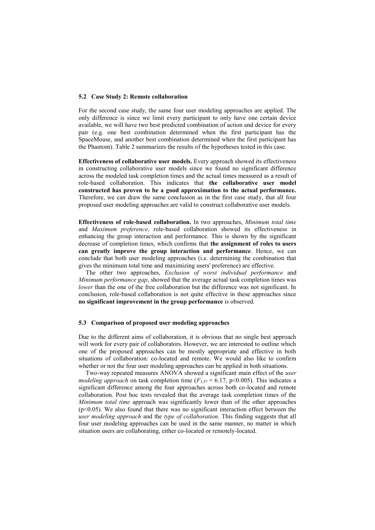#### **5.2 Case Study 2: Remote collaboration**

For the second case study, the same four user modeling approaches are applied. The only difference is since we limit every participant to only have one certain device available, we will have two best predicted combination of action and device for every pair (e.g. one best combination determined when the first participant has the SpaceMouse, and another best combination determined when the first participant has the Phantom). Table 2 summarizes the results of the hypotheses tested in this case.

**Effectiveness of collaborative user models.** Every approach showed its effectiveness in constructing collaborative user models since we found no significant difference across the modeled task completion times and the actual times measured as a result of role-based collaboration. This indicates that **the collaborative user model constructed has proven to be a good approximation to the actual performance.** Therefore, we can draw the same conclusion as in the first case study, that all four proposed user modeling approaches are valid to construct collaborative user models.

**Effectiveness of role-based collaboration.** In two approaches, *Minimum total time* and *Maximum preference*, role-based collaboration showed its effectiveness in enhancing the group interaction and performance. This is shown by the significant decrease of completion times, which confirms that **the assignment of roles to users can greatly improve the group interaction and performance**. Hence, we can conclude that both user modeling approaches (i.e. determining the combination that gives the minimum total time and maximizing users' preference) are effective.

The other two approaches, *Exclusion of worst individual performance* and *Minimum performance gap*, showed that the average actual task completion times was *lower* than the one of the free collaboration but the difference was not significant. In conclusion, role-based collaboration is not quite effective in these approaches since **no significant improvement in the group performance** is observed.

#### **5.3 Comparison of proposed user modeling approaches**

Due to the different aims of collaboration, it is obvious that no single best approach will work for every pair of collaborators. However, we are interested to outline which one of the proposed approaches can be mostly appropriate and effective in both situations of collaboration: co-located and remote. We would also like to confirm whether or not the four user modeling approaches can be applied in both situations.

Two-way repeated measures ANOVA showed a significant main effect of the *user modeling approach* on task completion time  $(F_{3,57} = 6.17, p<0.005)$ . This indicates a significant difference among the four approaches across both co-located and remote collaboration. Post hoc tests revealed that the average task completion times of the *Minimum total time* approach was significantly lower than of the other approaches (p<0.05). We also found that there was no significant interaction effect between the *user modeling approach* and the *type of collaboration*. This finding suggests that all four user modeling approaches can be used in the same manner, no matter in which situation users are collaborating, either co-located or remotely-located.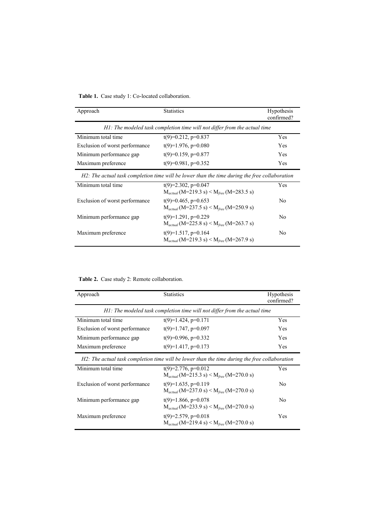**Table 1.** Case study 1: Co-located collaboration.

| Approach                                                                                      | <b>Statistics</b>                                                             | <b>Hypothesis</b><br>confirmed? |  |
|-----------------------------------------------------------------------------------------------|-------------------------------------------------------------------------------|---------------------------------|--|
| H1: The modeled task completion time will not differ from the actual time                     |                                                                               |                                 |  |
| Minimum total time                                                                            | $t(9)=0.212$ , p=0.837                                                        | Yes                             |  |
| Exclusion of worst performance                                                                | $t(9)=1.976, p=0.080$                                                         | Yes                             |  |
| Minimum performance gap                                                                       | $t(9)=0.159$ , p=0.877                                                        | <b>Yes</b>                      |  |
| Maximum preference                                                                            | $t(9)=0.981$ , $p=0.352$                                                      | Yes                             |  |
| H2: The actual task completion time will be lower than the time during the free collaboration |                                                                               |                                 |  |
| Minimum total time                                                                            | $t(9)=2.302$ , $p=0.047$<br>$M_{actual}$ (M=219.3 s) < $M_{free}$ (M=283.5 s) | Yes                             |  |
| Exclusion of worst performance                                                                | $t(9)=0.465$ , $p=0.653$<br>$M_{actual}$ (M=237.5 s) < $M_{free}$ (M=250.9 s) | N <sub>0</sub>                  |  |
| Minimum performance gap                                                                       | $t(9)=1.291$ , $p=0.229$<br>$M_{actual}$ (M=225.8 s) < $M_{free}$ (M=263.7 s) | N <sub>0</sub>                  |  |
| Maximum preference                                                                            | $t(9)=1.517$ , p=0.164<br>$M_{actual}$ (M=219.3 s) < $M_{free}$ (M=267.9 s)   | N <sub>0</sub>                  |  |

## **Table 2.** Case study 2: Remote collaboration.

| Approach                                                                                      | <b>Statistics</b>                                                             | <b>Hypothesis</b><br>confirmed? |  |
|-----------------------------------------------------------------------------------------------|-------------------------------------------------------------------------------|---------------------------------|--|
| H1: The modeled task completion time will not differ from the actual time                     |                                                                               |                                 |  |
| Minimum total time                                                                            | $t(9)=1.424$ , p=0.171                                                        | Yes                             |  |
| Exclusion of worst performance                                                                | $t(9)=1.747$ , p=0.097                                                        | Yes                             |  |
| Minimum performance gap                                                                       | $t(9)=0.996$ , $p=0.332$                                                      | Yes                             |  |
| Maximum preference                                                                            | $t(9)=1.417$ , p=0.173                                                        | Yes                             |  |
| H2: The actual task completion time will be lower than the time during the free collaboration |                                                                               |                                 |  |
| Minimum total time                                                                            | $t(9)=2.776$ , $p=0.012$<br>$M_{actual}(M=215.3 s) < M_{free}(M=270.0 s)$     | <b>Yes</b>                      |  |
| Exclusion of worst performance                                                                | $t(9)=1.635, p=0.119$<br>$M_{actual}$ (M=237.0 s) < $M_{free}$ (M=270.0 s)    | N <sub>0</sub>                  |  |
| Minimum performance gap                                                                       | $t(9)=1.866$ , $p=0.078$<br>$M_{actual}$ (M=233.9 s) < $M_{free}$ (M=270.0 s) | N <sub>0</sub>                  |  |
| Maximum preference                                                                            | $t(9)=2.579$ , $p=0.018$<br>$M_{actual}$ (M=219.4 s) < $M_{free}$ (M=270.0 s) | Yes                             |  |